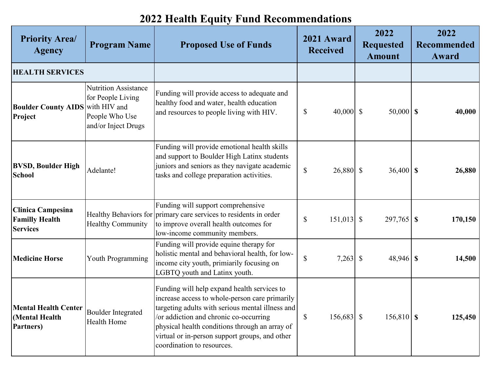## **Priority Area/ Agency Program Name <b>Proposed Use of Funds** 2021 Award **Received Received 2022 Requested Amount 2022 Recommended Award Boulder County AIDS** with HIV and **Project**  Nutrition Assistance for People Living People Who Use and/or Inject Drugs Funding will provide access to adequate and healthy food and water, health education and resources to people living with HIV.  $\begin{array}{|l|l|} \hline \text{S} & \text{40,000} & \text{100} & \text{50,000} & \text{100} \\ \hline \end{array}$ **BVSD, Boulder High School** School and a Table and Adelante! Funding will provide emotional health skills and support to Boulder High Latinx students juniors and seniors as they navigate academic tasks and college preparation activities.  $\begin{bmatrix} 8 & 26,880 \end{bmatrix}$   $\begin{bmatrix} 8 & 36,400 \end{bmatrix}$  **\$** 26,880 **Clinica Campesina Familly Health Services** Healthy Behaviors for primary care services to residents in order Healthy Community Funding will support comprehensive to improve overall health outcomes for low-income community members.  $\text{\$} \quad 151,013 \quad \text{\$} \quad 297,765 \quad \text{\$} \quad 170,150$ **Medicine Horse Youth Programming** Funding will provide equine therapy for holistic mental and behavioral health, for lowincome city youth, primiarily focusing on LGBTQ youth and Latinx youth.  $\text{\$}$  7,263 \  $\text{\$}$  48,946 \ \ \ \ \ 14.500 **Mental Health Center (Mental Health Partners)** Boulder Integrated Health Home Funding will help expand health services to increase access to whole-person care primarily targeting adults with serious mental illness and /or addiction and chronic co-occurring physical health conditions through an array of virtual or in-person support groups, and other coordination to resources. \$ 156,683 \$ 156,810 **\$ 125,450 HEALTH SERVICES**

## **2022 Health Equity Fund Recommendations**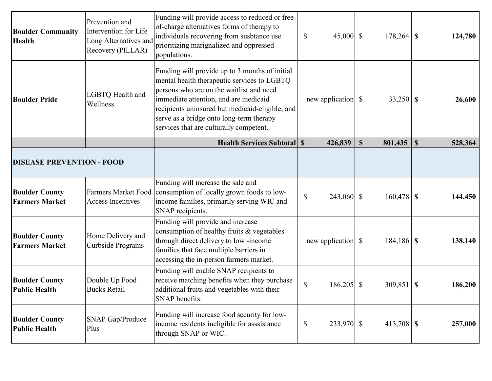| <b>Boulder Community</b><br><b>Health</b>      | Prevention and<br>Intervention for Life<br>Long Alternatives and<br>Recovery (PILLAR) | Funding will provide access to reduced or free-<br>of-charge alternatives forms of therapy to<br>individuals recovering from susbtance use<br>prioritizing marignalized and oppressed<br>populations.                                                                                                                        | \$<br>45,000 $\vert$ \$                 |              | $178,264$ \$   | 124,780 |
|------------------------------------------------|---------------------------------------------------------------------------------------|------------------------------------------------------------------------------------------------------------------------------------------------------------------------------------------------------------------------------------------------------------------------------------------------------------------------------|-----------------------------------------|--------------|----------------|---------|
| <b>Boulder Pride</b>                           | LGBTQ Health and<br>Wellness                                                          | Funding will provide up to 3 months of initial<br>mental health therapeutic services to LGBTQ<br>persons who are on the waitlist and need<br>immediate attention, and are medicaid<br>recipients uninsured but medicaid-eligible; and<br>serve as a bridge onto long-term therapy<br>services that are culturally competent. |                                         |              |                | 26,600  |
|                                                |                                                                                       | <b>Health Services Subtotal \$</b>                                                                                                                                                                                                                                                                                           | 426,839                                 | $\mathbb{S}$ | $801,435$   \$ | 528,364 |
| <b>DISEASE PREVENTION - FOOD</b>               |                                                                                       |                                                                                                                                                                                                                                                                                                                              |                                         |              |                |         |
| <b>Boulder County</b><br><b>Farmers Market</b> | <b>Farmers Market Food</b><br><b>Access Incentives</b>                                | Funding will increase the sale and<br>consumption of locally grown foods to low-<br>income families, primarily serving WIC and<br>SNAP recipients.                                                                                                                                                                           | $\boldsymbol{\mathsf{S}}$<br>243,060 \$ |              | $160,478$ \$   | 144,450 |
| <b>Boulder County</b><br><b>Farmers Market</b> | Home Delivery and<br>Curbside Programs                                                | Funding will provide and increase<br>consumption of healthy fruits & vegetables<br>through direct delivery to low-income<br>families that face multiple barriers in<br>accessing the in-person farmers market.                                                                                                               |                                         |              | $184,186$ \$   | 138,140 |
| <b>Boulder County</b><br><b>Public Health</b>  | Double Up Food<br><b>Bucks Retail</b>                                                 | Funding will enable SNAP recipients to<br>receive matching benefits when they purchase<br>additional fruits and vegetables with their<br>SNAP benefits.                                                                                                                                                                      | \$<br>$186,205$ \$                      |              | $309,851$ \$   | 186,200 |
| <b>Boulder County</b><br><b>Public Health</b>  | SNAP Gap/Produce<br>Plus                                                              | Funding will increase food security for low-<br>income residents ineligible for asssistance<br>through SNAP or WIC.                                                                                                                                                                                                          | 233,970 \$<br>\$                        |              | $413,708$ \$   | 257,000 |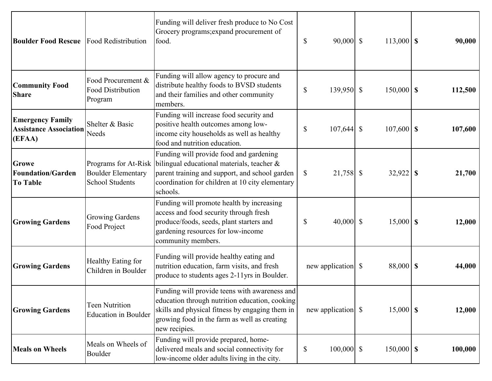| <b>Boulder Food Rescue</b> Food Redistribution                     |                                                                             | Funding will deliver fresh produce to No Cost<br>Grocery programs; expand procurement of<br>food.                                                                                                                   | $90,000$ \$<br>$\mathbb{S}$               | $113,000$ \$ | 90,000  |
|--------------------------------------------------------------------|-----------------------------------------------------------------------------|---------------------------------------------------------------------------------------------------------------------------------------------------------------------------------------------------------------------|-------------------------------------------|--------------|---------|
| <b>Community Food</b><br><b>Share</b>                              | Food Procurement &<br><b>Food Distribution</b><br>Program                   | Funding will allow agency to procure and<br>distribute healthy foods to BVSD students<br>and their families and other community<br>members.                                                                         | $\mathbb{S}$<br>139,950 \$                | $150,000$ \$ | 112,500 |
| <b>Emergency Family</b><br><b>Assistance Association</b><br>(EFAA) | Shelter & Basic<br>Needs                                                    | Funding will increase food security and<br>positive health outcomes among low-<br>income city households as well as healthy<br>food and nutrition education.                                                        | $\boldsymbol{\mathsf{S}}$<br>$107,644$ \$ | $107,600$ \$ | 107,600 |
| <b>Growe</b><br><b>Foundation/Garden</b><br><b>To Table</b>        | Programs for At-Risk<br><b>Boulder Elementary</b><br><b>School Students</b> | Funding will provide food and gardening<br>bilingual educational materials, teacher &<br>parent training and support, and school garden<br>coordination for children at 10 city elementary<br>schools.              | 21,758 \$<br>\$                           | $32,922$ \$  | 21,700  |
| <b>Growing Gardens</b>                                             | <b>Growing Gardens</b><br>Food Project                                      | Funding will promote health by increasing<br>access and food security through fresh<br>produce/foods, seeds, plant starters and<br>gardening resources for low-income<br>community members.                         | 40,000 $\vert$ \$<br>\$                   | $15,000$ \$  | 12,000  |
| <b>Growing Gardens</b>                                             | Healthy Eating for<br>Children in Boulder                                   | Funding will provide healthy eating and<br>nutrition education, farm visits, and fresh<br>produce to students ages 2-11yrs in Boulder.                                                                              |                                           | 88,000 \$    | 44,000  |
| <b>Growing Gardens</b>                                             | <b>Teen Nutrition</b><br><b>Education in Boulder</b>                        | Funding will provide teens with awareness and<br>education through nutrition education, cooking<br>skills and physical fitness by engaging them in<br>growing food in the farm as well as creating<br>new recipies. |                                           | $15,000$ \$  | 12,000  |
| <b>Meals on Wheels</b>                                             | Meals on Wheels of<br>Boulder                                               | Funding will provide prepared, home-<br>delivered meals and social connectivity for<br>low-income older adults living in the city.                                                                                  | $100,000$ \$<br>\$                        | $150,000$ \$ | 100,000 |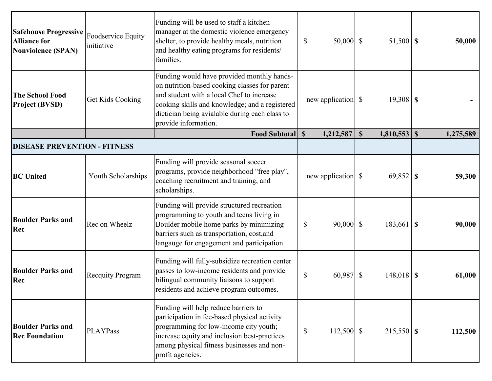| <b>Safehouse Progressive</b><br><b>Alliance for</b><br><b>Nonviolence (SPAN)</b> | Foodservice Equity<br>initiative | Funding will be used to staff a kitchen<br>manager at the domestic violence emergency<br>shelter, to provide healthy meals, nutrition<br>and healthy eating programs for residents/<br>families.                                                                     | \$<br>$50,000$ \$            | $51,500$ \$  | 50,000    |
|----------------------------------------------------------------------------------|----------------------------------|----------------------------------------------------------------------------------------------------------------------------------------------------------------------------------------------------------------------------------------------------------------------|------------------------------|--------------|-----------|
| <b>The School Food</b><br><b>Project (BVSD)</b>                                  | Get Kids Cooking                 | Funding would have provided monthly hands-<br>on nutrition-based cooking classes for parent<br>and student with a local Chef to increase<br>cooking skills and knowledge; and a registered<br>dietician being avialable during each class to<br>provide information. |                              | $19,308$ \$  |           |
|                                                                                  |                                  | <b>Food Subtotal S</b>                                                                                                                                                                                                                                               | 1,212,587                    | $\mathbf S$  | 1,275,589 |
| <b>DISEASE PREVENTION - FITNESS</b>                                              |                                  |                                                                                                                                                                                                                                                                      |                              |              |           |
| <b>BC</b> United                                                                 | Youth Scholarships               | Funding will provide seasonal soccer<br>programs, provide neighborhood "free play",<br>coaching recruitment and training, and<br>scholarships.                                                                                                                       |                              |              | 59,300    |
| <b>Boulder Parks and</b><br>Rec                                                  | Rec on Wheelz                    | Funding will provide structured recreation<br>programming to youth and teens living in<br>Boulder mobile home parks by minimizing<br>barriers such as transportation, cost, and<br>langauge for engagement and participation.                                        | $90,000$ \$<br>\$            | $183,661$ \$ | 90,000    |
| <b>Boulder Parks and</b><br>Rec                                                  | <b>Recquity Program</b>          | Funding will fully-subsidize recreation center<br>passes to low-income residents and provide<br>bilingual community liaisons to support<br>residents and achieve program outcomes.                                                                                   | \$<br>60,987 \$              | $148,018$ \$ | 61,000    |
| <b>Boulder Parks and</b><br><b>Rec Foundation</b>                                | <b>PLAYPass</b>                  | Funding will help reduce barriers to<br>participation in fee-based physical activity<br>programming for low-income city youth;<br>increase equity and inclusion best-practices<br>among physical fitness businesses and non-<br>profit agencies.                     | $\mathbb{S}$<br>$112,500$ \$ |              | 112,500   |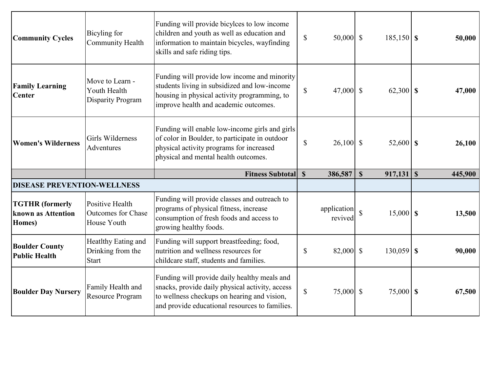| <b>Community Cycles</b>                                | Bicyling for<br><b>Community Health</b>                     | Funding will provide bicyles to low income<br>children and youth as well as education and<br>information to maintain bicycles, wayfinding<br>skills and safe riding tips.             | $\mathbb{S}$ | $50,000$ \$            | $185,150$ \$                  | 50,000  |
|--------------------------------------------------------|-------------------------------------------------------------|---------------------------------------------------------------------------------------------------------------------------------------------------------------------------------------|--------------|------------------------|-------------------------------|---------|
| <b>Family Learning</b><br><b>Center</b>                | Move to Learn -<br>Youth Health<br><b>Disparity Program</b> | Funding will provide low income and minority<br>students living in subsidized and low-income<br>housing in physical activity programming, to<br>improve health and academic outcomes. | $\mathbb{S}$ | 47,000 $\vert$ \$      | $62,300$ \$                   | 47,000  |
| <b>Women's Wilderness</b>                              | Girls Wilderness<br>Adventures                              | Funding will enable low-income girls and girls<br>of color in Boulder, to participate in outdoor<br>physical activity programs for increased<br>physical and mental health outcomes.  | $\mathbb{S}$ | $26,100$ \$            | $52,600$ \$                   | 26,100  |
|                                                        |                                                             |                                                                                                                                                                                       |              |                        |                               |         |
|                                                        |                                                             | <b>Fitness Subtotal S</b>                                                                                                                                                             |              | 386,587                | $\mathbf S$<br>$917,131$   \$ | 445,900 |
| <b>DISEASE PREVENTION-WELLNESS</b>                     |                                                             |                                                                                                                                                                                       |              |                        |                               |         |
| <b>TGTHR</b> (formerly<br>known as Attention<br>Homes) | Positive Health<br>Outcomes for Chase<br>House Youth        | Funding will provide classes and outreach to<br>programs of physical fitness, increase<br>consumption of fresh foods and access to<br>growing healthy foods.                          |              | application<br>revived | $\hat{S}$<br>$15,000$ \$      | 13,500  |
| <b>Boulder County</b><br><b>Public Health</b>          | Heatlthy Eating and<br>Drinking from the<br>Start           | Funding will support breastfeeding; food,<br>nutrition and wellness resources for<br>childcare staff, students and families.                                                          | $\mathbb{S}$ | 82,000 \$              | $130,059$ \$                  | 90,000  |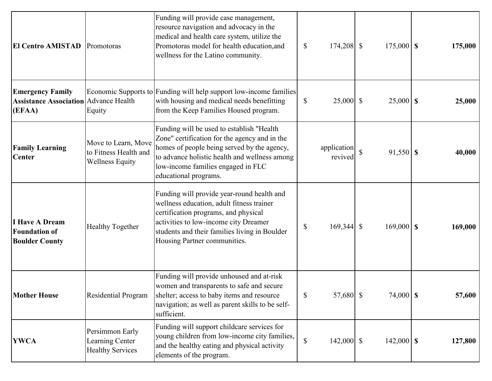| <b>El Centro AMISTAD</b> Promotoras                                               |                                                                        | Funding will provide case management,<br>resource navigation and advocacy in the<br>medical and health care system, utilize the<br>Promotoras model for health education, and<br>wellness for the Latino community.                                       | $\boldsymbol{\mathsf{S}}$ | $174,208$ \$           |              | $175,000$ \$ | 175,000 |
|-----------------------------------------------------------------------------------|------------------------------------------------------------------------|-----------------------------------------------------------------------------------------------------------------------------------------------------------------------------------------------------------------------------------------------------------|---------------------------|------------------------|--------------|--------------|---------|
| <b>Emergency Family</b><br><b>Assistance Association Advance Health</b><br>(EFAA) | Equity                                                                 | Economic Supports to Funding will help support low-income families<br>with housing and medical needs benefitting<br>from the Keep Families Housed program.                                                                                                | $\mathbb{S}$              | $25,000$ \$            |              | $25,000$ \$  | 25,000  |
| <b>Family Learning</b><br><b>Center</b>                                           | Move to Learn, Move<br>to Fitness Health and<br><b>Wellness Equity</b> | Funding will be used to establish "Health<br>Zone" certification for the agency and in the<br>homes of people being served by the agency,<br>to advance holistic health and wellness among<br>low-income families engaged in FLC<br>educational programs. |                           | application<br>revived | $\mathbb{S}$ | $91,550$ \$  | 40,000  |
| <b>I Have A Dream</b><br><b>Foundation of</b><br><b>Boulder County</b>            | <b>Healthy Together</b>                                                | Funding will provide year-round health and<br>wellness education, adult fitness trainer<br>certification programs, and physical<br>activities to low-income city Dreamer<br>students and their families living in Boulder<br>Housing Partner communities. | $\mathbb{S}$              | $169,344$ \$           |              | $169,000$ \$ | 169,000 |
| <b>Mother House</b>                                                               | Residential Program                                                    | Funding will provide unhoused and at-risk<br>women and transparents to safe and secure<br>shelter; access to baby items and resource<br>navigation; as well as parent skills to be self-<br>sufficient.                                                   | \$                        | 57,680 \$              |              | $74,000$ \$  | 57,600  |
| <b>YWCA</b>                                                                       | Persimmon Early<br>Learning Center<br><b>Healthy Services</b>          | Funding will support childcare services for<br>young children from low-income city families,<br>and the healthy eating and physical activity<br>elements of the program.                                                                                  | $\mathbb{S}$              | $142,000$ \$           |              | $142,000$ \$ | 127,800 |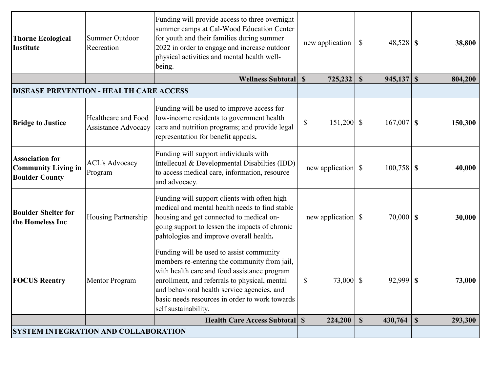| <b>Thorne Ecological</b><br>Institute                                         | Summer Outdoor<br>Recreation                      | Funding will provide access to three overnight<br>summer camps at Cal-Wood Education Center<br>for youth and their families during summer<br>2022 in order to engage and increase outdoor<br>physical activities and mental health well-<br>being.                                                                 | new application                         | $\mathbb{S}$<br>$48,528$ \$ | 38,800  |
|-------------------------------------------------------------------------------|---------------------------------------------------|--------------------------------------------------------------------------------------------------------------------------------------------------------------------------------------------------------------------------------------------------------------------------------------------------------------------|-----------------------------------------|-----------------------------|---------|
|                                                                               |                                                   | Wellness Subtotal S                                                                                                                                                                                                                                                                                                | 725,232                                 | $\mathbb{S}$                | 804,200 |
| <b>DISEASE PREVENTION - HEALTH CARE ACCESS</b>                                |                                                   |                                                                                                                                                                                                                                                                                                                    |                                         |                             |         |
| <b>Bridge to Justice</b>                                                      | Healthcare and Food<br><b>Assistance Advocacy</b> | Funding will be used to improve access for<br>low-income residents to government health<br>care and nutrition programs; and provide legal<br>representation for benefit appeals.                                                                                                                                   | $\boldsymbol{\mathsf{S}}$<br>151,200 \$ | $167,007$ \$                | 150,300 |
| <b>Association for</b><br><b>Community Living in</b><br><b>Boulder County</b> | <b>ACL's Advocacy</b><br>Program                  | Funding will support individuals with<br>Intellecual & Developmental Disabilties (IDD)<br>to access medical care, information, resource<br>and advocacy.                                                                                                                                                           |                                         | $100,758$ \$                | 40,000  |
| <b>Boulder Shelter for</b><br>the Homeless Inc                                | <b>Housing Partnership</b>                        | Funding will support clients with often high<br>medical and mental health needs to find stable<br>housing and get connected to medical on-<br>going support to lessen the impacts of chronic<br>pahtologies and improve overall health.                                                                            |                                         | $70,000$ \$                 | 30,000  |
| <b>FOCUS Reentry</b>                                                          | <b>Mentor Program</b>                             | Funding will be used to assist community<br>members re-entering the community from jail,<br>with health care and food assistance program<br>enrollment, and referrals to physical, mental<br>and behavioral health service agencies, and<br>basic needs resources in order to work towards<br>self sustainability. | \$<br>73,000 \$                         |                             | 73,000  |
|                                                                               |                                                   | <b>Health Care Access Subtotal S</b>                                                                                                                                                                                                                                                                               | 224,200                                 | $\mathbf S$                 | 293,300 |
| <b>SYSTEM INTEGRATION AND COLLABORATION</b>                                   |                                                   |                                                                                                                                                                                                                                                                                                                    |                                         |                             |         |